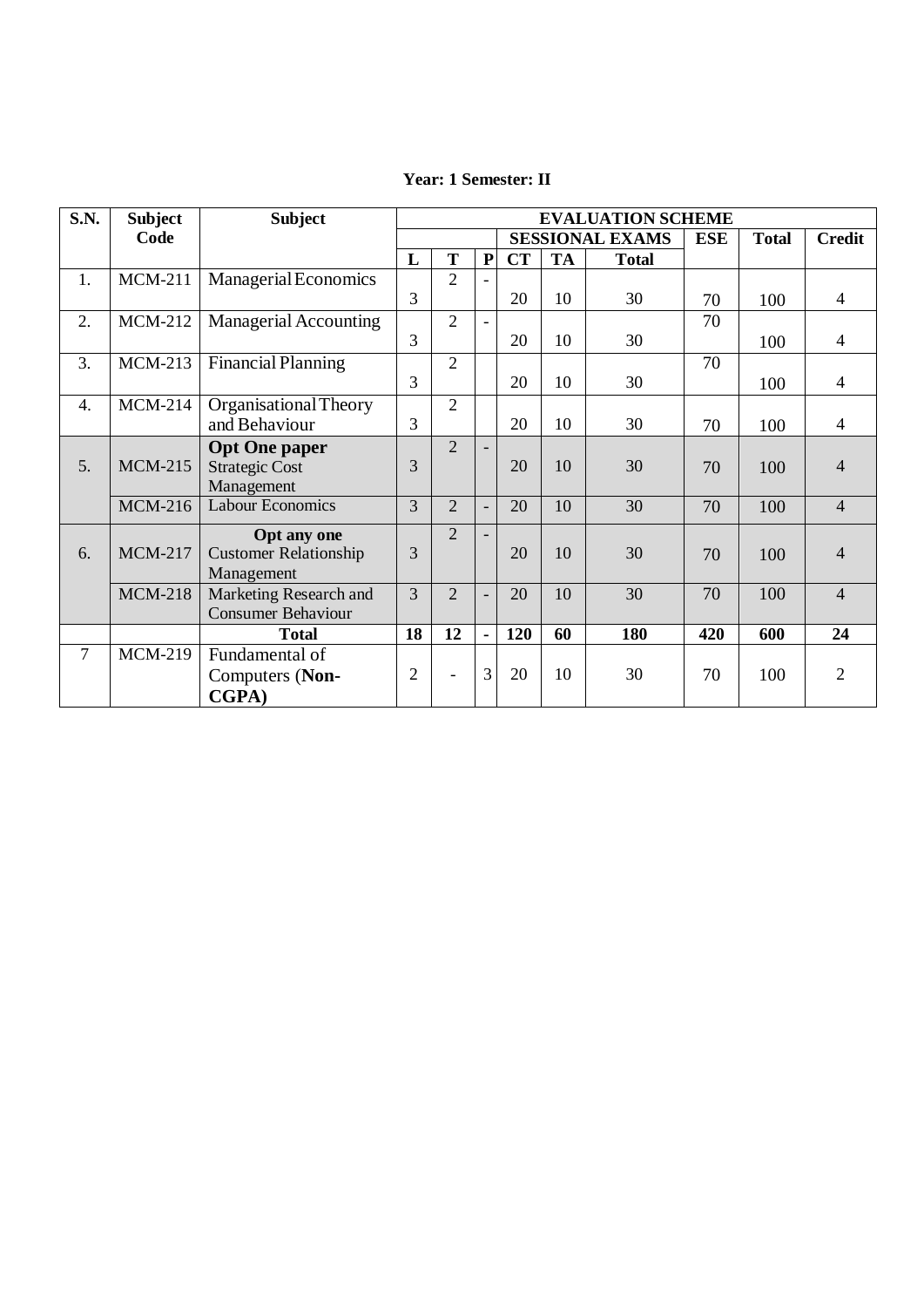| <b>S.N.</b>      | <b>Subject</b> | <b>Subject</b>               | <b>EVALUATION SCHEME</b> |                             |                          |                        |           |              |            |              |                |
|------------------|----------------|------------------------------|--------------------------|-----------------------------|--------------------------|------------------------|-----------|--------------|------------|--------------|----------------|
|                  | Code           |                              |                          |                             |                          | <b>SESSIONAL EXAMS</b> |           |              | <b>ESE</b> | <b>Total</b> | <b>Credit</b>  |
|                  |                |                              | L                        | T                           | ${\bf P}$                | <b>CT</b>              | <b>TA</b> | <b>Total</b> |            |              |                |
| 1.               | <b>MCM-211</b> | Managerial Economics         |                          | $\overline{2}$              |                          |                        |           |              |            |              |                |
|                  |                |                              | 3                        |                             |                          | 20                     | 10        | 30           | 70         | 100          | $\overline{4}$ |
| 2.               | <b>MCM-212</b> | <b>Managerial Accounting</b> |                          | $\overline{2}$              | $\overline{\phantom{a}}$ |                        |           |              | 70         |              |                |
|                  |                |                              | 3                        |                             |                          | 20                     | 10        | 30           |            | 100          | $\overline{4}$ |
| 3.               | $MCM-213$      | <b>Financial Planning</b>    |                          | $\overline{2}$              |                          |                        |           |              | 70         |              |                |
|                  |                |                              | 3                        |                             |                          | 20                     | 10        | 30           |            | 100          | $\overline{4}$ |
| $\overline{4}$ . | $MCM-214$      | Organisational Theory        |                          | $\overline{c}$              |                          |                        |           |              |            |              |                |
|                  |                | and Behaviour                | 3                        |                             |                          | 20                     | 10        | 30           | 70         | 100          | $\overline{4}$ |
|                  |                | <b>Opt One paper</b>         |                          | $\mathcal{D}_{\mathcal{L}}$ |                          |                        |           |              |            |              |                |
| 5.               | <b>MCM-215</b> | <b>Strategic Cost</b>        | 3                        |                             |                          | 20                     | 10        | 30           | 70         | 100          | $\overline{4}$ |
|                  |                | Management                   |                          |                             |                          |                        |           |              |            |              |                |
|                  | <b>MCM-216</b> | <b>Labour Economics</b>      | 3                        | $\overline{2}$              |                          | 20                     | 10        | 30           | 70         | 100          | $\overline{4}$ |
|                  |                | <b>Opt any one</b>           |                          | $\mathcal{D}_{\mathcal{L}}$ |                          |                        |           |              |            |              |                |
| 6.               | <b>MCM-217</b> | <b>Customer Relationship</b> | 3                        |                             |                          | 20                     | 10        | 30           | 70         | 100          | $\overline{4}$ |
|                  |                | Management                   |                          |                             |                          |                        |           |              |            |              |                |
|                  | <b>MCM-218</b> | Marketing Research and       | 3                        | $\overline{2}$              |                          | 20                     | 10        | 30           | 70         | 100          | $\overline{4}$ |
|                  |                | <b>Consumer Behaviour</b>    |                          |                             |                          |                        |           |              |            |              |                |
|                  |                | <b>Total</b>                 | 18                       | 12                          | $\blacksquare$           | 120                    | 60        | 180          | 420        | 600          | 24             |
| 7                | <b>MCM-219</b> | Fundamental of               |                          |                             |                          |                        |           |              |            |              |                |
|                  |                | Computers (Non-              | $\overline{2}$           | $\overline{\phantom{0}}$    | 3                        | 20                     | 10        | 30           | 70         | 100          | $\overline{2}$ |
|                  |                | CGPA)                        |                          |                             |                          |                        |           |              |            |              |                |

## **Year: 1 Semester: II**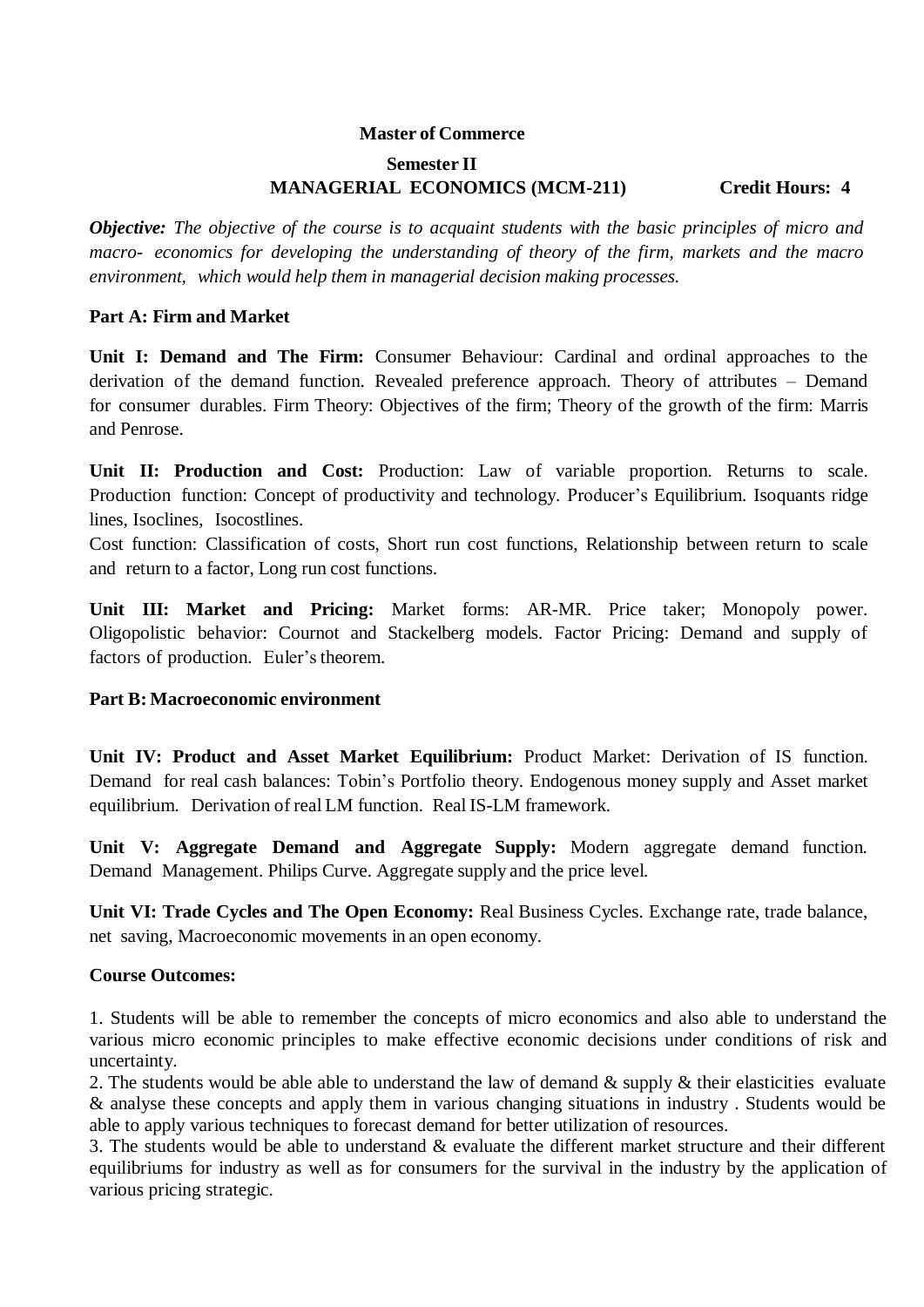# **Master of Commerce Semester II MANAGERIAL ECONOMICS (MCM-211) Credit Hours: 4**

*Objective: The objective of the course is to acquaint students with the basic principles of micro and macro- economics for developing the understanding of theory of the firm, markets and the macro environment, which would help them in managerial decision making processes.*

### **Part A: Firm and Market**

**Unit I: Demand and The Firm:** Consumer Behaviour: Cardinal and ordinal approaches to the derivation of the demand function. Revealed preference approach. Theory of attributes – Demand for consumer durables. Firm Theory: Objectives of the firm; Theory of the growth of the firm: Marris and Penrose.

**Unit II: Production and Cost:** Production: Law of variable proportion. Returns to scale. Production function: Concept of productivity and technology. Producer's Equilibrium. Isoquants ridge lines, Isoclines, Isocostlines.

Cost function: Classification of costs, Short run cost functions, Relationship between return to scale and return to a factor, Long run cost functions.

**Unit III: Market and Pricing:** Market forms: AR-MR. Price taker; Monopoly power. Oligopolistic behavior: Cournot and Stackelberg models. Factor Pricing: Demand and supply of factors of production. Euler's theorem.

### **Part B: Macroeconomic environment**

**Unit IV: Product and Asset Market Equilibrium:** Product Market: Derivation of IS function. Demand for real cash balances: Tobin's Portfolio theory. Endogenous money supply and Asset market equilibrium. Derivation of real LM function. Real IS-LM framework.

**Unit V: Aggregate Demand and Aggregate Supply:** Modern aggregate demand function. Demand Management. Philips Curve. Aggregate supply and the price level.

**Unit VI: Trade Cycles and The Open Economy:** Real Business Cycles. Exchange rate, trade balance, net saving, Macroeconomic movements in an open economy.

### **Course Outcomes:**

1. Students will be able to remember the concepts of micro economics and also able to understand the various micro economic principles to make effective economic decisions under conditions of risk and uncertainty.

2. The students would be able able to understand the law of demand & supply & their elasticities evaluate & analyse these concepts and apply them in various changing situations in industry . Students would be able to apply various techniques to forecast demand for better utilization of resources.

3. The students would be able to understand & evaluate the different market structure and their different equilibriums for industry as well as for consumers for the survival in the industry by the application of various pricing strategic.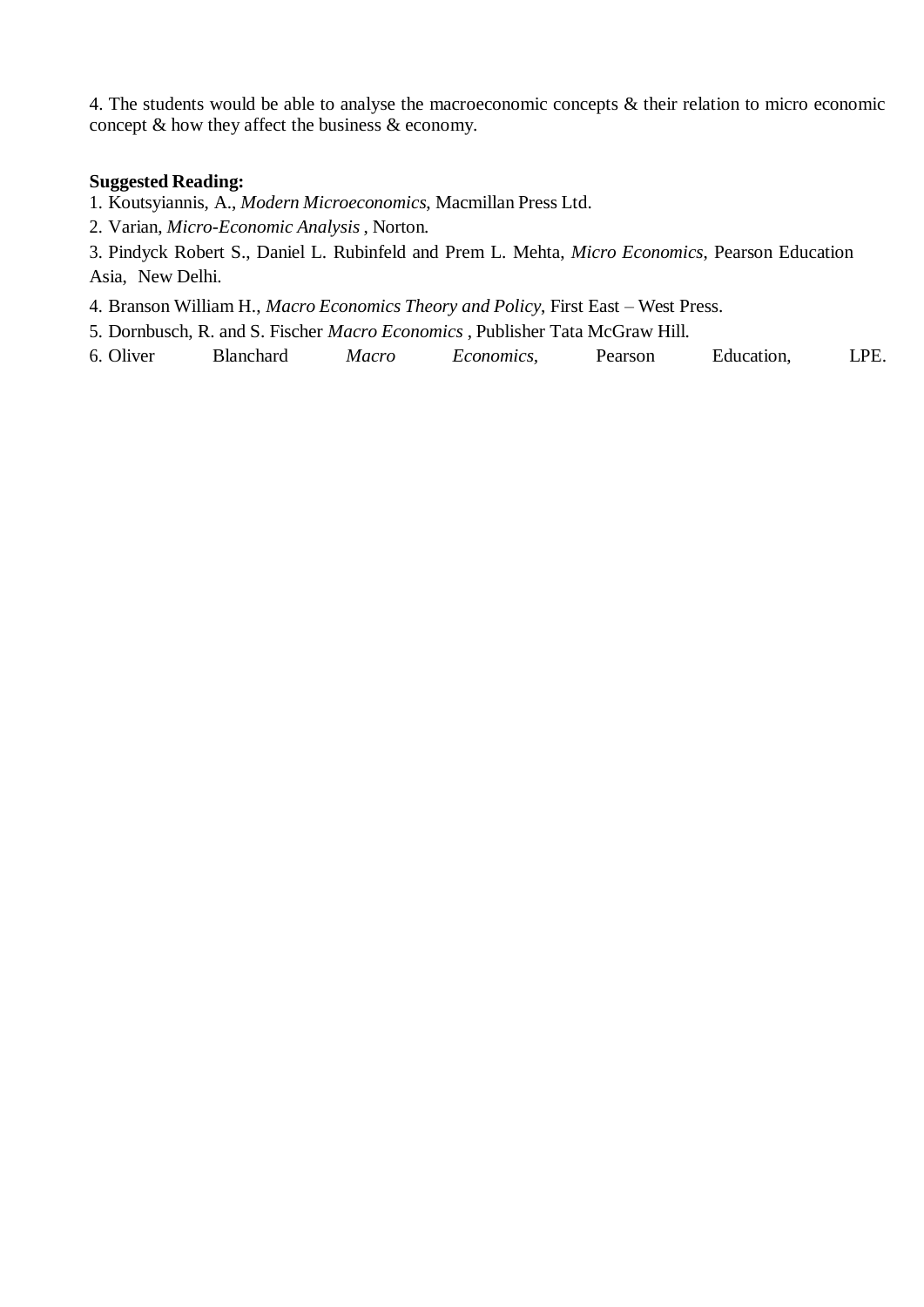4. The students would be able to analyse the macroeconomic concepts & their relation to micro economic concept & how they affect the business & economy.

### **Suggested Reading:**

1. Koutsyiannis, A., *Modern Microeconomics*, Macmillan Press Ltd.

2. Varian, *Micro-Economic Analysis* , Norton.

3. Pindyck Robert S., Daniel L. Rubinfeld and Prem L. Mehta, *Micro Economics*, Pearson Education Asia, New Delhi.

4. Branson William H., *Macro Economics Theory and Policy*, First East – West Press.

5. Dornbusch, R. and S. Fischer *Macro Economics* , Publisher Tata McGraw Hill.

6. Oliver Blanchard *Macro Economics,* Pearson Education, LPE.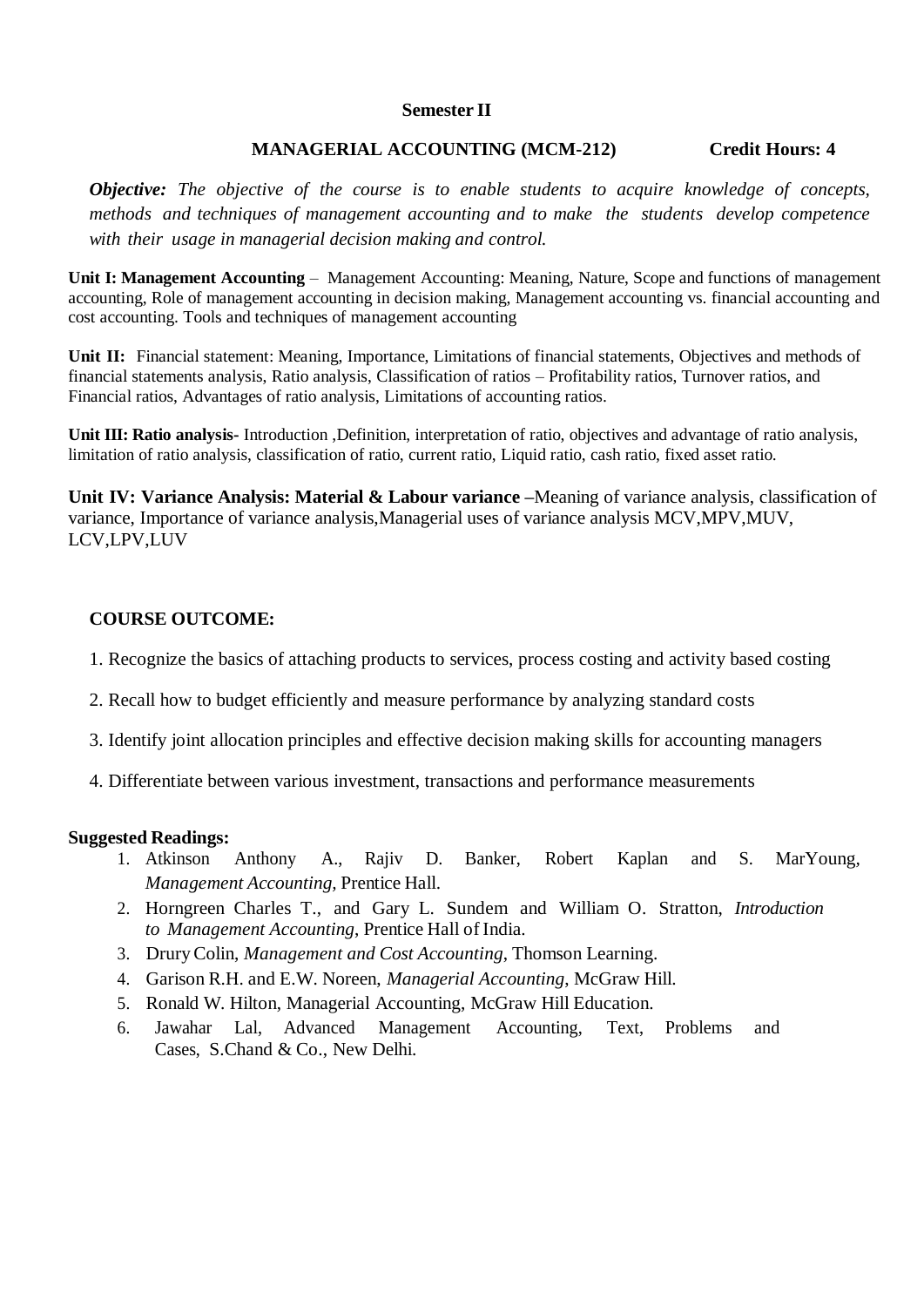#### **Semester II**

### **MANAGERIAL ACCOUNTING (MCM-212) Credit Hours: 4**

*Objective: The objective of the course is to enable students to acquire knowledge of concepts, methods and techniques of management accounting and to make the students develop competence with their usage in managerial decision making and control.*

**Unit I: Management Accounting** – Management Accounting: Meaning, Nature, Scope and functions of management accounting, Role of management accounting in decision making, Management accounting vs. financial accounting and cost accounting. Tools and techniques of management accounting

**Unit II:** Financial statement: Meaning, Importance, Limitations of financial statements, Objectives and methods of financial statements analysis, Ratio analysis, Classification of ratios – Profitability ratios, Turnover ratios, and Financial ratios, Advantages of ratio analysis, Limitations of accounting ratios.

**Unit III: Ratio analysis-** Introduction ,Definition, interpretation of ratio, objectives and advantage of ratio analysis, limitation of ratio analysis, classification of ratio, current ratio, Liquid ratio, cash ratio, fixed asset ratio.

**Unit IV: Variance Analysis: Material & Labour variance –**Meaning of variance analysis, classification of variance, Importance of variance analysis,Managerial uses of variance analysis MCV,MPV,MUV, LCV,LPV,LUV

### **COURSE OUTCOME:**

- 1. Recognize the basics of attaching products to services, process costing and activity based costing
- 2. Recall how to budget efficiently and measure performance by analyzing standard costs
- 3. Identify joint allocation principles and effective decision making skills for accounting managers
- 4. Differentiate between various investment, transactions and performance measurements

#### **Suggested Readings:**

- 1. Atkinson Anthony A., Rajiv D. Banker, Robert Kaplan and S. MarYoung*, Management Accounting,* Prentice Hall.
- 2. Horngreen Charles T., and Gary L. Sundem and William O. Stratton, *Introduction to Management Accounting*, Prentice Hall of India.
- 3. DruryColin, *Management and Cost Accounting*, Thomson Learning.
- 4. Garison R.H. and E.W. Noreen, *Managerial Accounting*, McGraw Hill.
- 5. Ronald W. Hilton, Managerial Accounting, McGraw Hill Education.
- 6. Jawahar Lal, Advanced Management Accounting, Text, Problems and Cases, S.Chand & Co., New Delhi.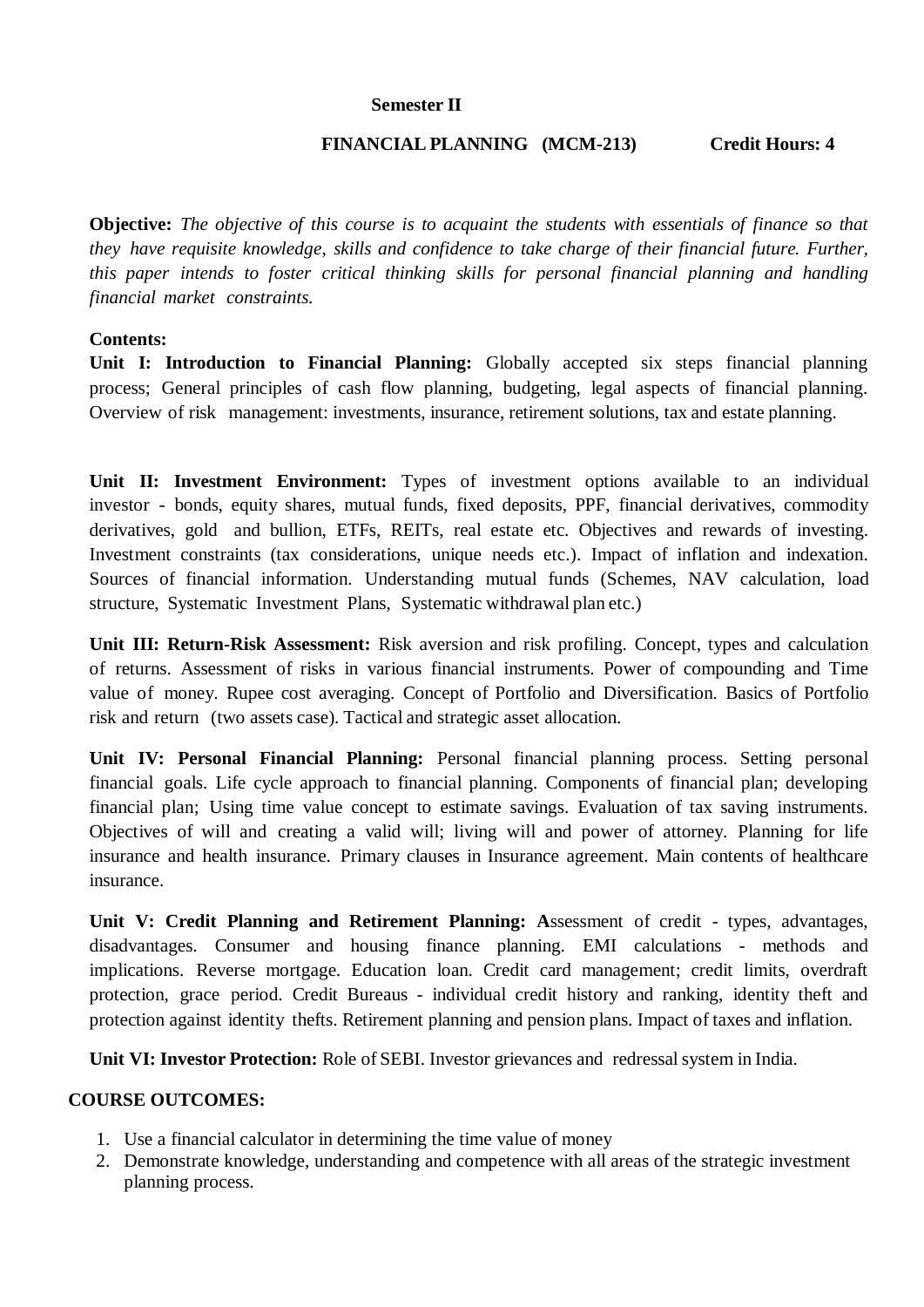### **Semester II**

### **FINANCIAL PLANNING (MCM-213) Credit Hours: 4**

**Objective:** *The objective of this course is to acquaint the students with essentials of finance so that they have requisite knowledge, skills and confidence to take charge of their financial future. Further, this paper intends to foster critical thinking skills for personal financial planning and handling financial market constraints.*

### **Contents:**

**Unit I: Introduction to Financial Planning:** Globally accepted six steps financial planning process; General principles of cash flow planning, budgeting, legal aspects of financial planning. Overview of risk management: investments, insurance, retirement solutions, tax and estate planning.

**Unit II: Investment Environment:** Types of investment options available to an individual investor - bonds, equity shares, mutual funds, fixed deposits, PPF, financial derivatives, commodity derivatives, gold and bullion, ETFs, REITs, real estate etc. Objectives and rewards of investing. Investment constraints (tax considerations, unique needs etc.). Impact of inflation and indexation. Sources of financial information. Understanding mutual funds (Schemes, NAV calculation, load structure, Systematic Investment Plans, Systematic withdrawal plan etc.)

**Unit III: Return-Risk Assessment:** Risk aversion and risk profiling. Concept, types and calculation of returns. Assessment of risks in various financial instruments. Power of compounding and Time value of money. Rupee cost averaging. Concept of Portfolio and Diversification. Basics of Portfolio risk and return (two assets case). Tactical and strategic asset allocation.

**Unit IV: Personal Financial Planning:** Personal financial planning process. Setting personal financial goals. Life cycle approach to financial planning. Components of financial plan; developing financial plan; Using time value concept to estimate savings. Evaluation of tax saving instruments. Objectives of will and creating a valid will; living will and power of attorney. Planning for life insurance and health insurance. Primary clauses in Insurance agreement. Main contents of healthcare insurance.

**Unit V: Credit Planning and Retirement Planning: A**ssessment of credit - types, advantages, disadvantages. Consumer and housing finance planning. EMI calculations - methods and implications. Reverse mortgage. Education loan. Credit card management; credit limits, overdraft protection, grace period. Credit Bureaus - individual credit history and ranking, identity theft and protection against identity thefts. Retirement planning and pension plans. Impact of taxes and inflation.

Unit VI: Investor Protection: Role of SEBI. Investor grievances and redressal system in India.

## **COURSE OUTCOMES:**

- 1. Use a financial calculator in determining the time value of money
- 2. Demonstrate knowledge, understanding and competence with all areas of the strategic investment planning process.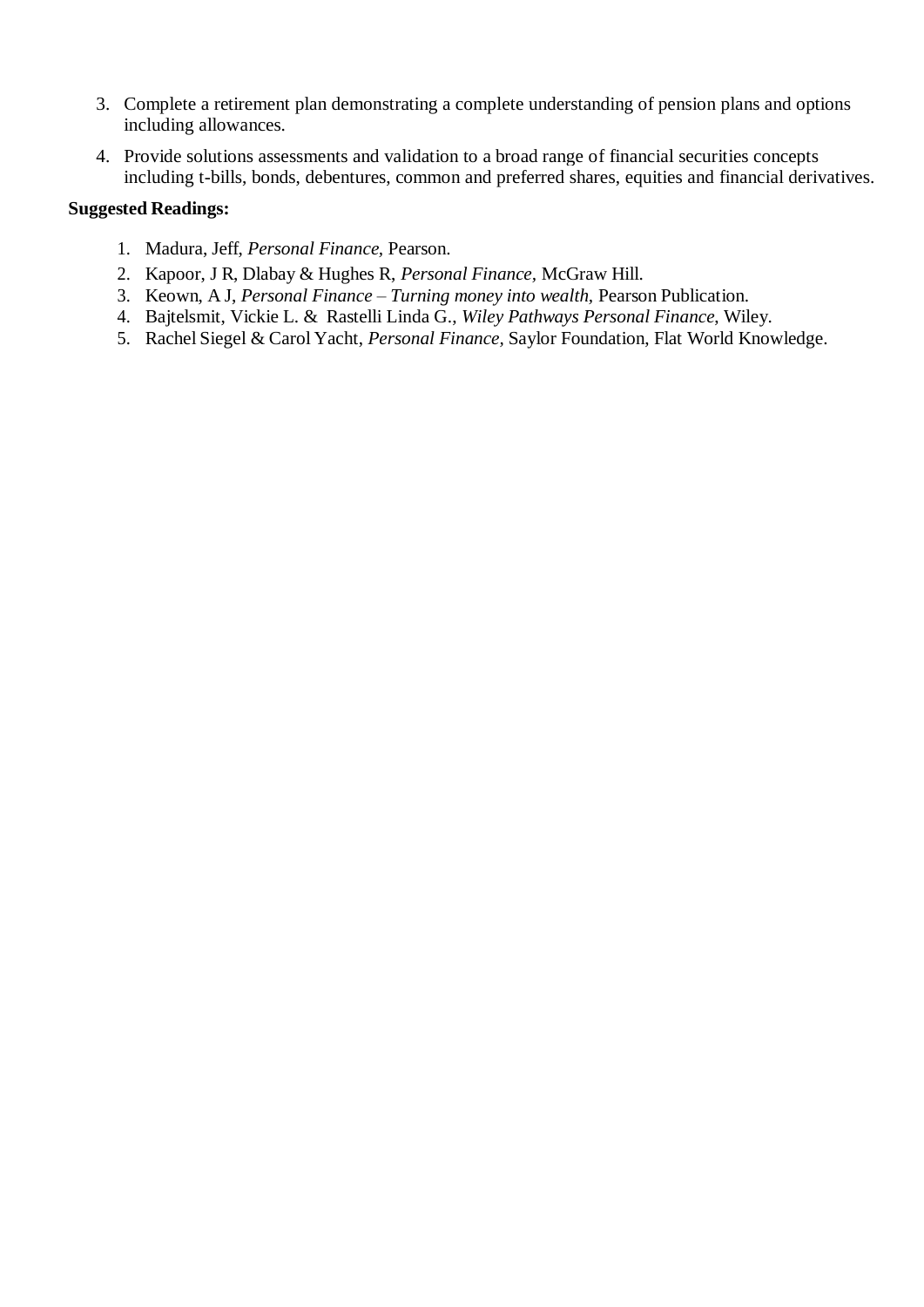- 3. Complete a retirement plan demonstrating a complete understanding of pension plans and options including allowances.
- 4. Provide solutions assessments and validation to a broad range of financial securities concepts including t-bills, bonds, debentures, common and preferred shares, equities and financial derivatives.

### **Suggested Readings:**

- 1. Madura, Jeff, *Personal Finance,* Pearson.
- 2. Kapoor, J R, Dlabay & Hughes R, *Personal Finance,* McGraw Hill.
- 3. Keown, A J, *Personal Finance – Turning money into wealth,* Pearson Publication.
- 4. Bajtelsmit, Vickie L. & Rastelli Linda G., *Wiley Pathways Personal Finance*, Wiley.
- 5. Rachel Siegel & Carol Yacht, *Personal Finance,* Saylor Foundation, Flat World Knowledge.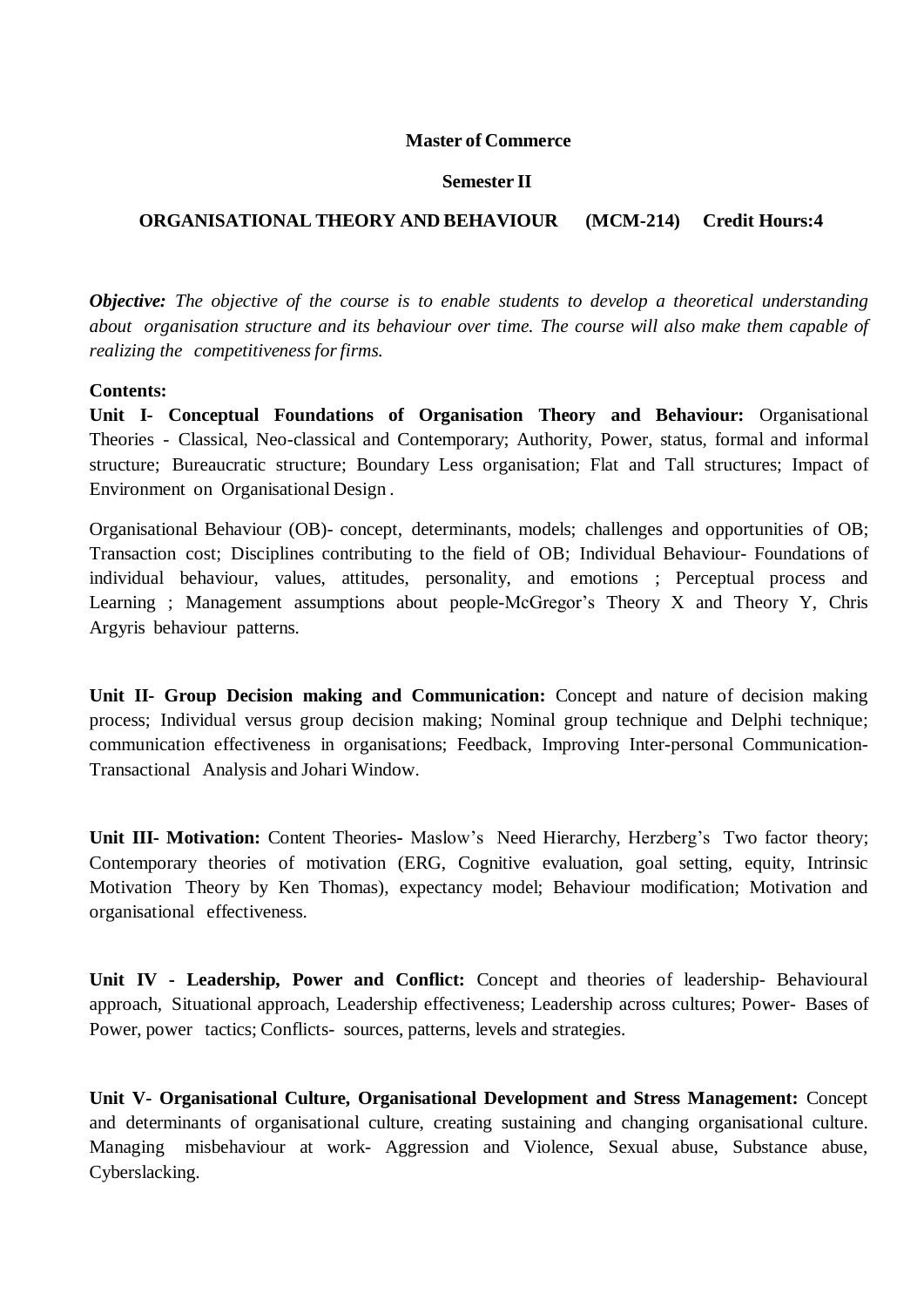#### **Master of Commerce**

#### **Semester II**

### **ORGANISATIONAL THEORY AND BEHAVIOUR (MCM-214) Credit Hours:4**

*Objective: The objective of the course is to enable students to develop a theoretical understanding about organisation structure and its behaviour over time. The course will also make them capable of realizing the competitiveness forfirms.*

#### **Contents:**

**Unit I- Conceptual Foundations of Organisation Theory and Behaviour:** Organisational Theories - Classical, Neo-classical and Contemporary; Authority, Power, status, formal and informal structure; Bureaucratic structure; Boundary Less organisation; Flat and Tall structures; Impact of Environment on Organisational Design .

Organisational Behaviour (OB)- concept, determinants, models; challenges and opportunities of OB; Transaction cost; Disciplines contributing to the field of OB; Individual Behaviour- Foundations of individual behaviour, values, attitudes, personality, and emotions ; Perceptual process and Learning ; Management assumptions about people-McGregor's Theory X and Theory Y, Chris Argyris behaviour patterns.

**Unit II- Group Decision making and Communication:** Concept and nature of decision making process; Individual versus group decision making; Nominal group technique and Delphi technique; communication effectiveness in organisations; Feedback, Improving Inter-personal Communication-Transactional Analysis and Johari Window.

**Unit III- Motivation:** Content Theories**-** Maslow's Need Hierarchy, Herzberg's Two factor theory; Contemporary theories of motivation (ERG, Cognitive evaluation, goal setting, equity, Intrinsic Motivation Theory by Ken Thomas), expectancy model; Behaviour modification; Motivation and organisational effectiveness.

**Unit IV - Leadership, Power and Conflict:** Concept and theories of leadership- Behavioural approach, Situational approach, Leadership effectiveness; Leadership across cultures; Power- Bases of Power, power tactics; Conflicts- sources, patterns, levels and strategies.

**Unit V- Organisational Culture, Organisational Development and Stress Management:** Concept and determinants of organisational culture, creating sustaining and changing organisational culture. Managing misbehaviour at work- Aggression and Violence, Sexual abuse, Substance abuse, Cyberslacking.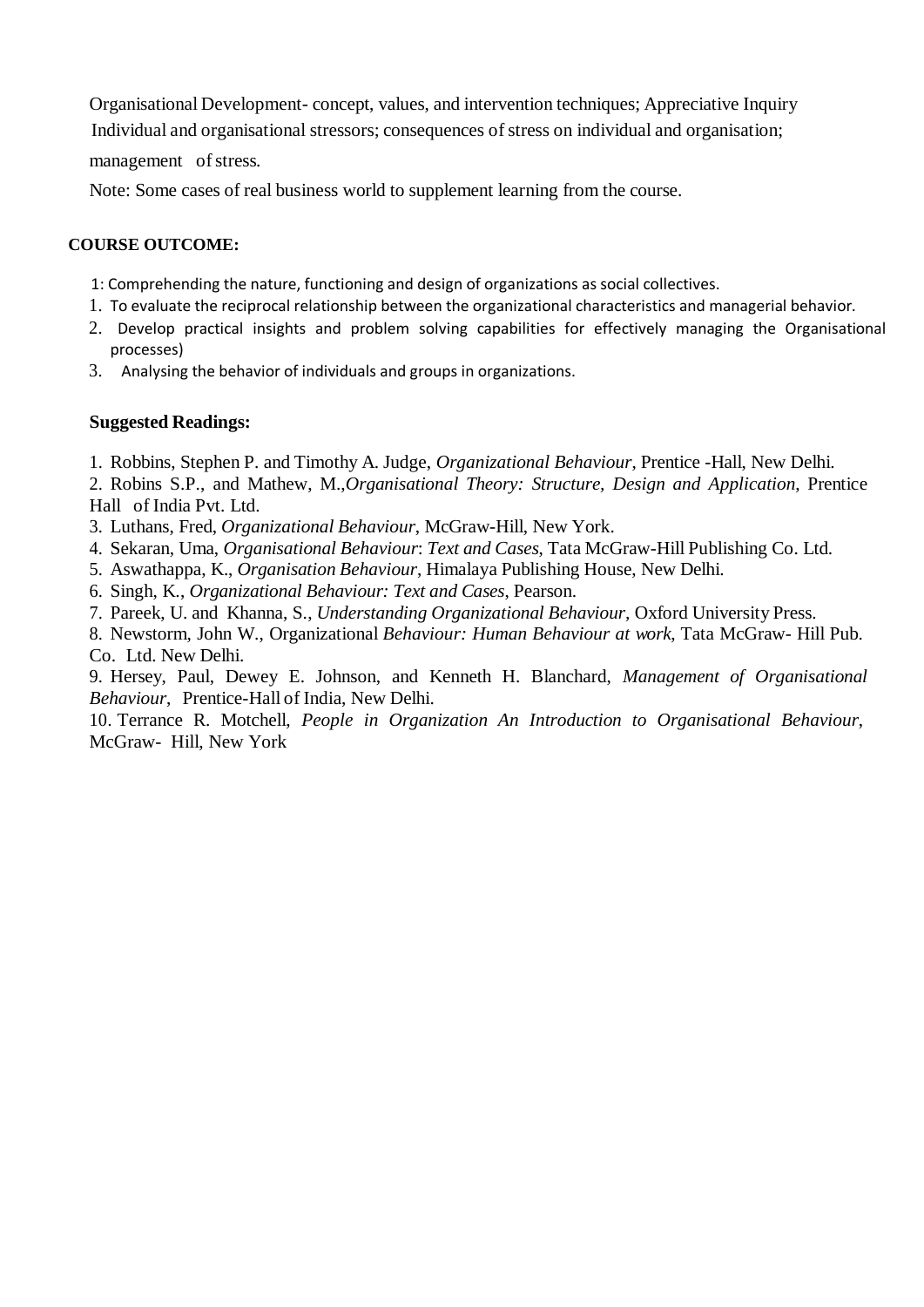Organisational Development- concept, values, and intervention techniques; Appreciative Inquiry

Individual and organisational stressors; consequences of stress on individual and organisation;

management of stress.

Note: Some cases of real business world to supplement learning from the course.

## **COURSE OUTCOME:**

- 1: Comprehending the nature, functioning and design of organizations as social collectives.
- 1. To evaluate the reciprocal relationship between the organizational characteristics and managerial behavior.
- 2. Develop practical insights and problem solving capabilities for effectively managing the Organisational processes)
- 3. Analysing the behavior of individuals and groups in organizations.

## **Suggested Readings:**

1. Robbins, Stephen P. and Timothy A. Judge, *Organizational Behaviour*, Prentice -Hall, New Delhi.

2. Robins S.P., and Mathew, M.,*Organisational Theory: Structure, Design and Application*, Prentice Hall of India Pvt. Ltd.

3. Luthans, Fred, *Organizational Behaviour*, McGraw-Hill, New York.

- 4. Sekaran, Uma, *Organisational Behaviour*: *Text and Cases*, Tata McGraw-Hill Publishing Co. Ltd.
- 5. Aswathappa, K., *Organisation Behaviour*, Himalaya Publishing House, New Delhi.
- 6. Singh, K., *Organizational Behaviour: Text and Cases*, Pearson.
- 7. Pareek, U. and Khanna, S., *Understanding Organizational Behaviour,* Oxford University Press.
- 8. Newstorm, John W., Organizational *Behaviour: Human Behaviour at work*, Tata McGraw- Hill Pub. Co. Ltd. New Delhi.

9. Hersey, Paul, Dewey E. Johnson, and Kenneth H. Blanchard, *Management of Organisational Behaviour*, Prentice-Hall of India, New Delhi.

10. Terrance R. Motchell, *People in Organization An Introduction to Organisational Behaviour*, McGraw- Hill, New York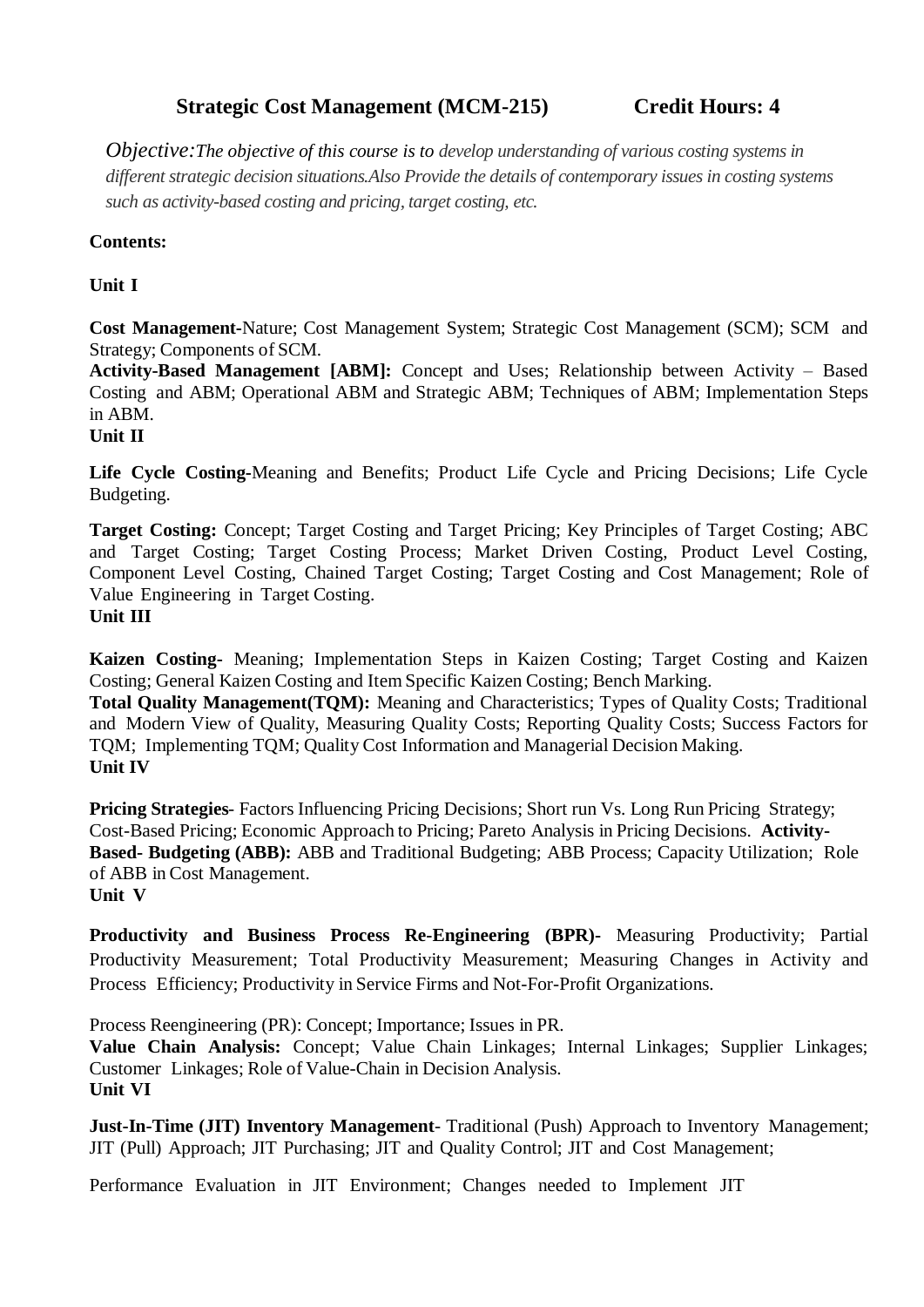# **Strategic Cost Management (MCM-215) Credit Hours: 4**

*Objective:The objective of this course is to develop understanding of various costing systems in different strategic decision situations.Also Provide the details of contemporary issues in costing systems such as activity-based costing and pricing, target costing, etc.*

# **Contents:**

# **Unit I**

**Cost Management-**Nature; Cost Management System; Strategic Cost Management (SCM); SCM and Strategy; Components of SCM.

**Activity-Based Management [ABM]:** Concept and Uses; Relationship between Activity – Based Costing and ABM; Operational ABM and Strategic ABM; Techniques of ABM; Implementation Steps in ABM.

**Unit II**

**Life Cycle Costing-**Meaning and Benefits; Product Life Cycle and Pricing Decisions; Life Cycle Budgeting.

**Target Costing:** Concept; Target Costing and Target Pricing; Key Principles of Target Costing; ABC and Target Costing; Target Costing Process; Market Driven Costing, Product Level Costing, Component Level Costing, Chained Target Costing; Target Costing and Cost Management; Role of Value Engineering in Target Costing.

## **Unit III**

**Kaizen Costing-** Meaning; Implementation Steps in Kaizen Costing; Target Costing and Kaizen Costing; General Kaizen Costing and Item Specific Kaizen Costing; Bench Marking.

**Total Quality Management(TQM):** Meaning and Characteristics; Types of Quality Costs; Traditional and Modern View of Quality, Measuring Quality Costs; Reporting Quality Costs; Success Factors for TQM; Implementing TQM; Quality Cost Information and Managerial Decision Making. **Unit IV**

**Pricing Strategies**- Factors Influencing Pricing Decisions; Short run Vs. Long Run Pricing Strategy; Cost-Based Pricing; Economic Approach to Pricing; Pareto Analysis in Pricing Decisions. **Activity-Based- Budgeting (ABB):** ABB and Traditional Budgeting; ABB Process; Capacity Utilization; Role of ABB in Cost Management. **Unit V**

**Productivity and Business Process Re-Engineering (BPR)-** Measuring Productivity; Partial Productivity Measurement; Total Productivity Measurement; Measuring Changes in Activity and Process Efficiency; Productivity in Service Firms and Not-For-Profit Organizations.

Process Reengineering (PR): Concept; Importance; Issues in PR.

**Value Chain Analysis:** Concept; Value Chain Linkages; Internal Linkages; Supplier Linkages; Customer Linkages; Role of Value-Chain in Decision Analysis. **Unit VI**

**Just-In-Time (JIT) Inventory Management**- Traditional (Push) Approach to Inventory Management; JIT (Pull) Approach; JIT Purchasing; JIT and Quality Control; JIT and Cost Management;

Performance Evaluation in JIT Environment; Changes needed to Implement JIT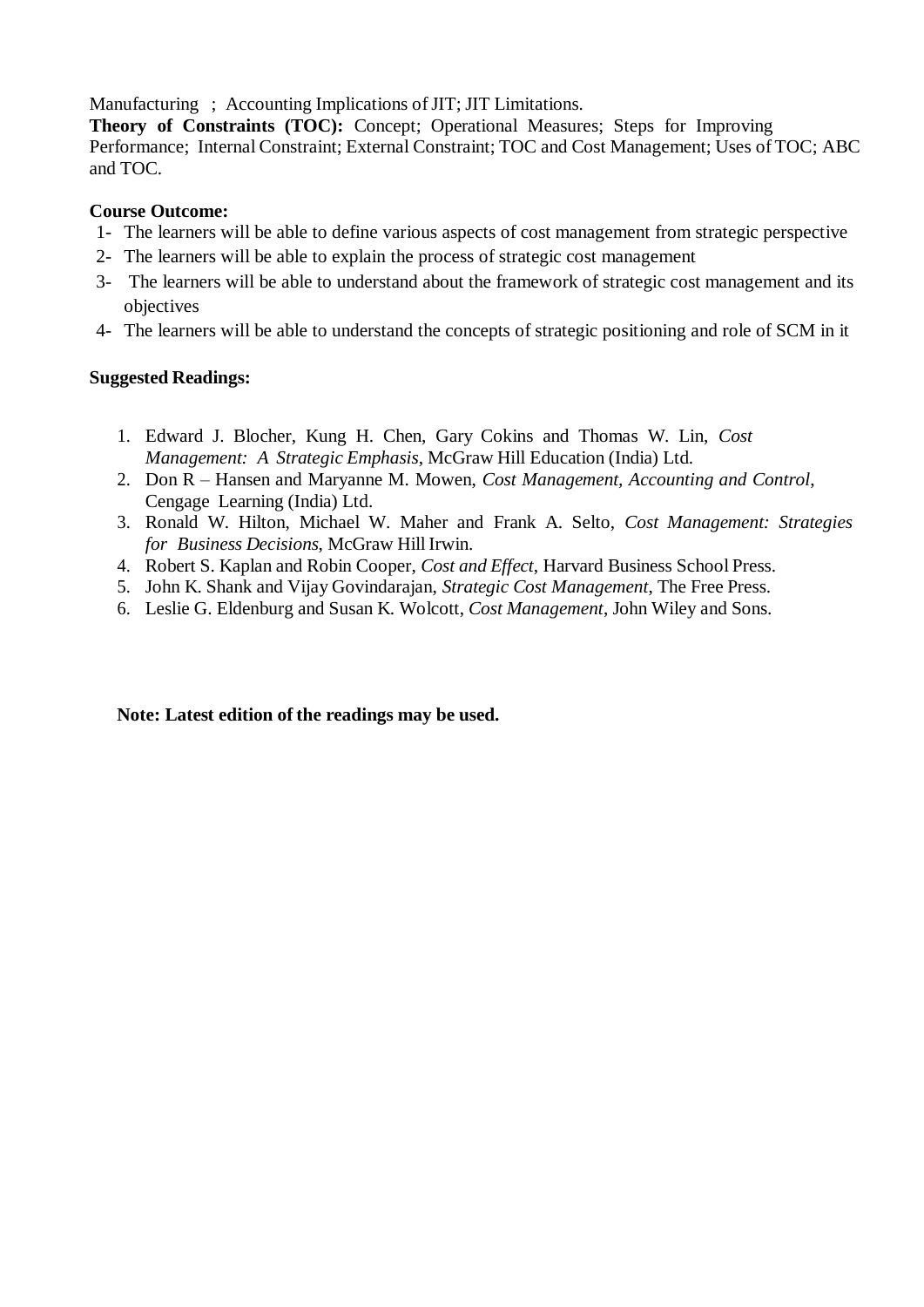Manufacturing ; Accounting Implications of JIT; JIT Limitations.

**Theory of Constraints (TOC):** Concept; Operational Measures; Steps for Improving Performance; Internal Constraint; External Constraint; TOC and Cost Management; Uses of TOC; ABC and TOC.

## **Course Outcome:**

- 1- The learners will be able to define various aspects of cost management from strategic perspective
- 2- The learners will be able to explain the process of strategic cost management
- 3- The learners will be able to understand about the framework of strategic cost management and its objectives
- 4- The learners will be able to understand the concepts of strategic positioning and role of SCM in it

## **Suggested Readings:**

- 1. Edward J. Blocher, Kung H. Chen, Gary Cokins and Thomas W. Lin, *Cost Management: A Strategic Emphasis*, McGraw Hill Education (India) Ltd.
- 2. Don R Hansen and Maryanne M. Mowen, *Cost Management, Accounting and Control*, Cengage Learning (India) Ltd.
- 3. Ronald W. Hilton, Michael W. Maher and Frank A. Selto, *Cost Management: Strategies for Business Decisions*, McGraw HillIrwin.
- 4. Robert S. Kaplan and Robin Cooper, *Cost and Effect*, Harvard Business School Press.
- 5. John K. Shank and Vijay Govindarajan, *Strategic Cost Management*, The Free Press.
- 6. Leslie G. Eldenburg and Susan K. Wolcott, *Cost Management*, John Wiley and Sons.

## **Note: Latest edition of the readings may be used.**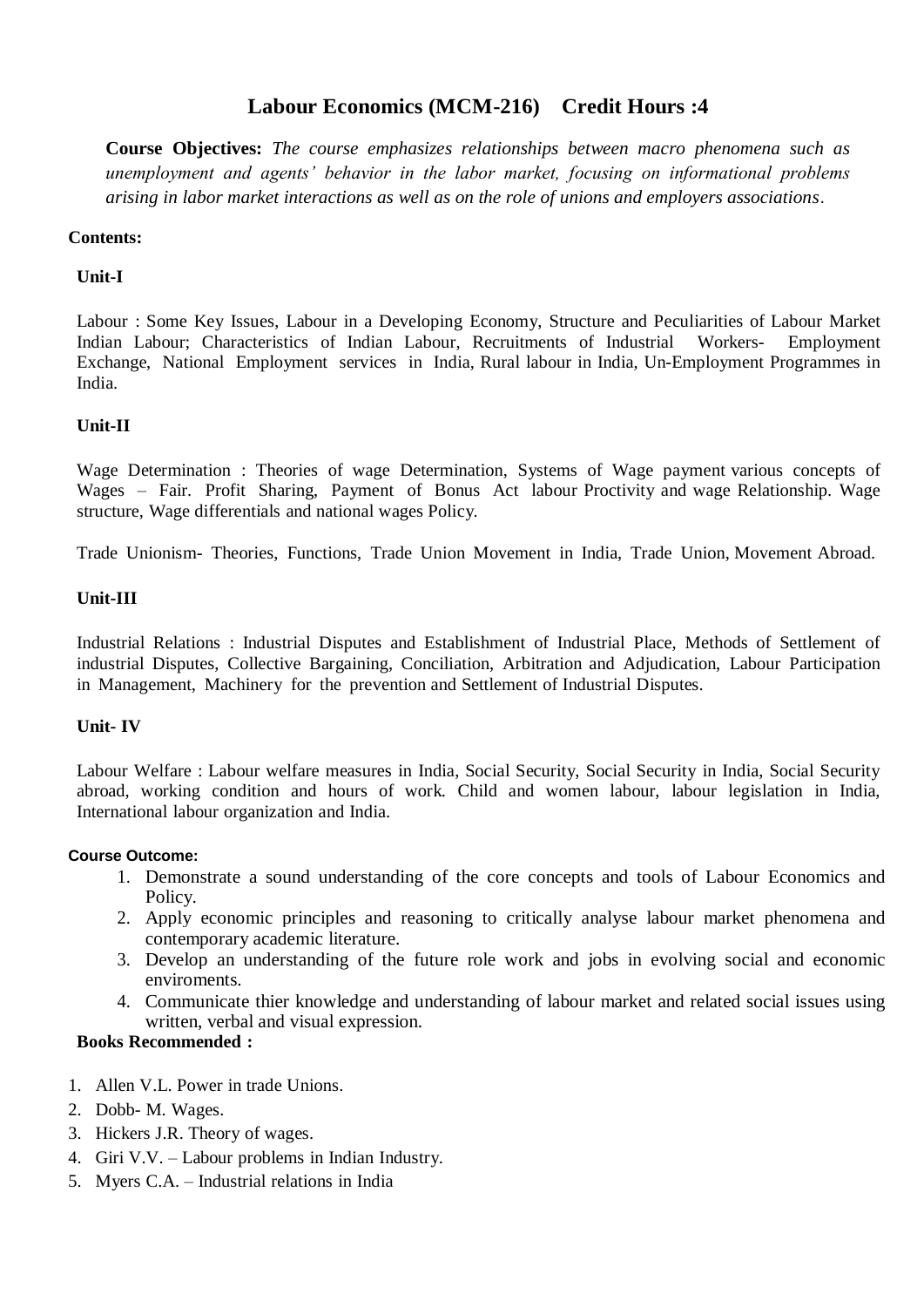# **Labour Economics (MCM-216) Credit Hours :4**

**Course Objectives:** *The course emphasizes relationships between macro phenomena such as unemployment and agents' behavior in the labor market, focusing on informational problems arising in labor market interactions as well as on the role of unions and employers associations*.

### **Contents:**

### **Unit-I**

Labour : Some Key Issues, Labour in a Developing Economy, Structure and Peculiarities of Labour Market Indian Labour; Characteristics of Indian Labour, Recruitments of Industrial Workers- Employment Exchange, National Employment services in India, Rural labour in India, Un-Employment Programmes in India.

### **Unit-II**

Wage Determination : Theories of wage Determination, Systems of Wage payment various concepts of Wages – Fair. Profit Sharing, Payment of Bonus Act labour Proctivity and wage Relationship. Wage structure, Wage differentials and national wages Policy.

Trade Unionism- Theories, Functions, Trade Union Movement in India, Trade Union, Movement Abroad.

#### **Unit-III**

Industrial Relations : Industrial Disputes and Establishment of Industrial Place, Methods of Settlement of industrial Disputes, Collective Bargaining, Conciliation, Arbitration and Adjudication, Labour Participation in Management, Machinery for the prevention and Settlement of Industrial Disputes.

#### **Unit- IV**

Labour Welfare : Labour welfare measures in India, Social Security, Social Security in India, Social Security abroad, working condition and hours of work. Child and women labour, labour legislation in India, International labour organization and India.

#### **Course Outcome:**

- 1. Demonstrate a sound understanding of the core concepts and tools of Labour Economics and Policy.
- 2. Apply economic principles and reasoning to critically analyse labour market phenomena and contemporary academic literature.
- 3. Develop an understanding of the future role work and jobs in evolving social and economic enviroments.
- 4. Communicate thier knowledge and understanding of labour market and related social issues using written, verbal and visual expression.

#### **Books Recommended :**

- 1. Allen V.L. Power in trade Unions.
- 2. Dobb- M. Wages.
- 3. Hickers J.R. Theory of wages.
- 4. Giri V.V. Labour problems in Indian Industry.
- 5. Myers C.A. Industrial relations in India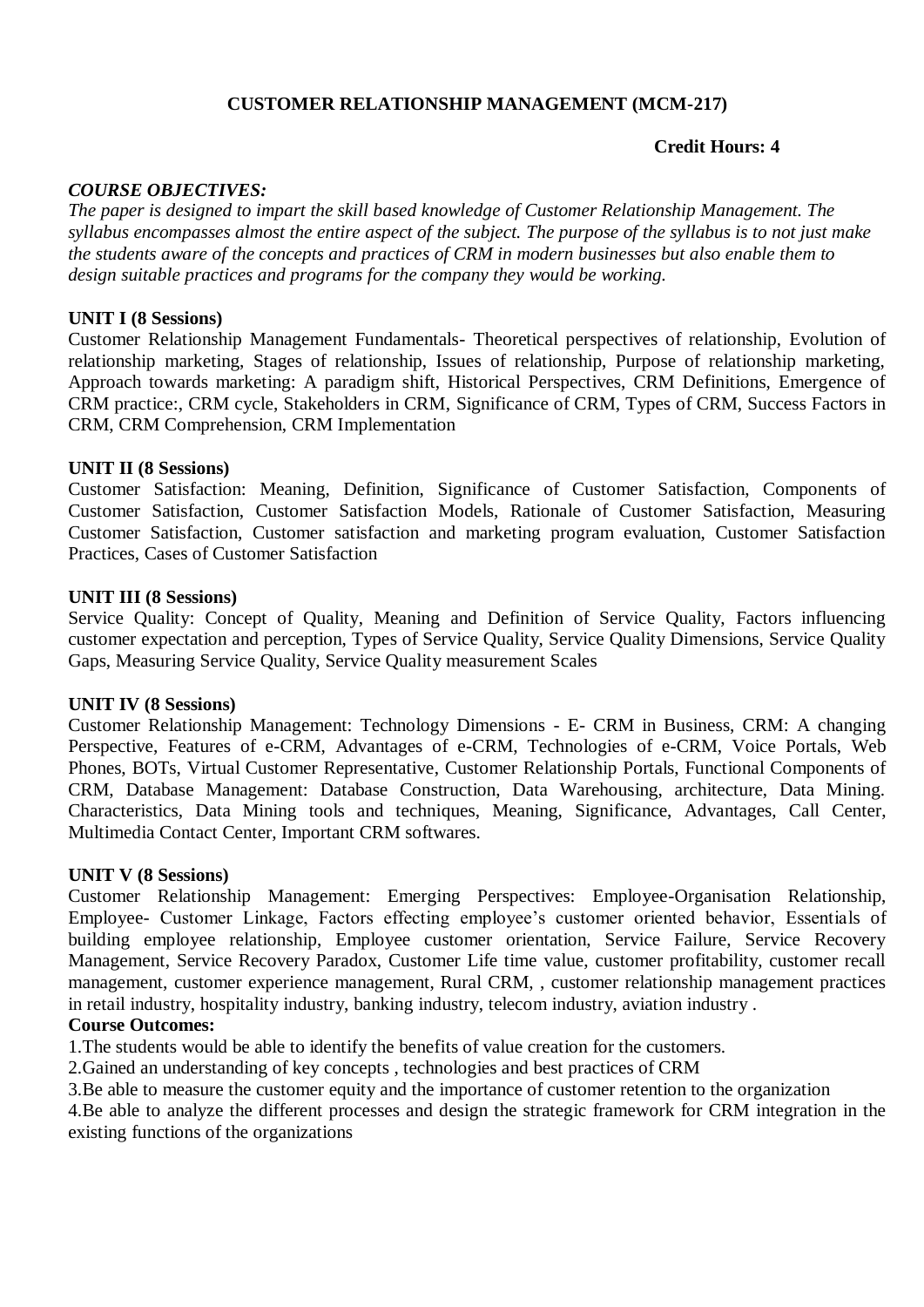## **CUSTOMER RELATIONSHIP MANAGEMENT (MCM-217)**

### **Credit Hours: 4**

### *COURSE OBJECTIVES:*

*The paper is designed to impart the skill based knowledge of Customer Relationship Management. The syllabus encompasses almost the entire aspect of the subject. The purpose of the syllabus is to not just make the students aware of the concepts and practices of CRM in modern businesses but also enable them to design suitable practices and programs for the company they would be working.* 

#### **UNIT I (8 Sessions)**

Customer Relationship Management Fundamentals- Theoretical perspectives of relationship, Evolution of relationship marketing, Stages of relationship, Issues of relationship, Purpose of relationship marketing, Approach towards marketing: A paradigm shift, Historical Perspectives, CRM Definitions, Emergence of CRM practice:, CRM cycle, Stakeholders in CRM, Significance of CRM, Types of CRM, Success Factors in CRM, CRM Comprehension, CRM Implementation

#### **UNIT II (8 Sessions)**

Customer Satisfaction: Meaning, Definition, Significance of Customer Satisfaction, Components of Customer Satisfaction, Customer Satisfaction Models, Rationale of Customer Satisfaction, Measuring Customer Satisfaction, Customer satisfaction and marketing program evaluation, Customer Satisfaction Practices, Cases of Customer Satisfaction

#### **UNIT III (8 Sessions)**

Service Quality: Concept of Quality, Meaning and Definition of Service Quality, Factors influencing customer expectation and perception, Types of Service Quality, Service Quality Dimensions, Service Quality Gaps, Measuring Service Quality, Service Quality measurement Scales

#### **UNIT IV (8 Sessions)**

Customer Relationship Management: Technology Dimensions - E- CRM in Business, CRM: A changing Perspective, Features of e-CRM, Advantages of e-CRM, Technologies of e-CRM, Voice Portals, Web Phones, BOTs, Virtual Customer Representative, Customer Relationship Portals, Functional Components of CRM, Database Management: Database Construction, Data Warehousing, architecture, Data Mining. Characteristics, Data Mining tools and techniques, Meaning, Significance, Advantages, Call Center, Multimedia Contact Center, Important CRM softwares.

#### **UNIT V (8 Sessions)**

Customer Relationship Management: Emerging Perspectives: Employee-Organisation Relationship, Employee- Customer Linkage, Factors effecting employee's customer oriented behavior, Essentials of building employee relationship, Employee customer orientation, Service Failure, Service Recovery Management, Service Recovery Paradox, Customer Life time value, customer profitability, customer recall management, customer experience management, Rural CRM, , customer relationship management practices in retail industry, hospitality industry, banking industry, telecom industry, aviation industry .

#### **Course Outcomes:**

1.The students would be able to identify the benefits of value creation for the customers.

2.Gained an understanding of key concepts , technologies and best practices of CRM

3.Be able to measure the customer equity and the importance of customer retention to the organization

4.Be able to analyze the different processes and design the strategic framework for CRM integration in the existing functions of the organizations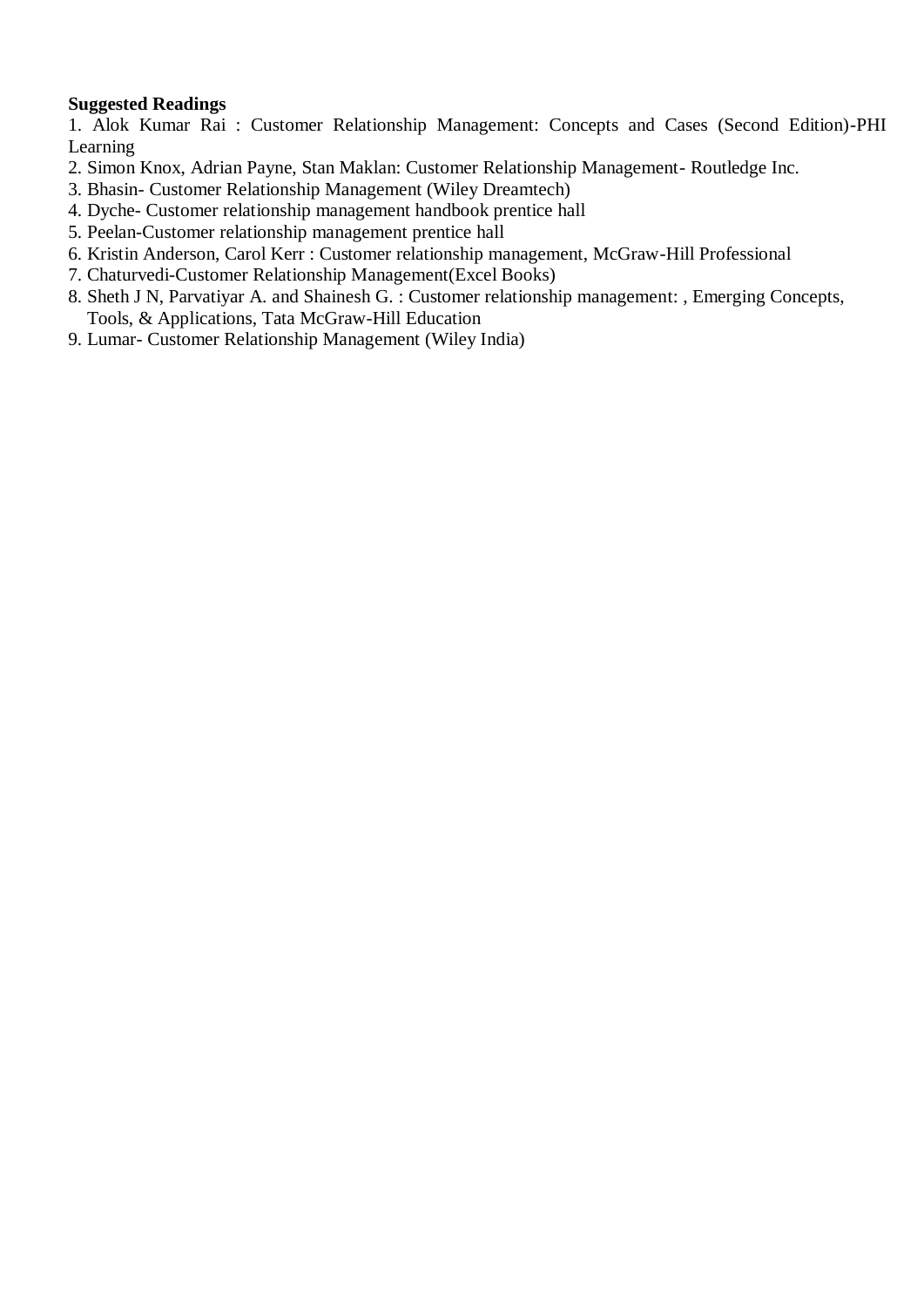## **Suggested Readings**

1. Alok Kumar Rai : Customer Relationship Management: Concepts and Cases (Second Edition)-PHI Learning

- 2. Simon Knox, Adrian Payne, Stan Maklan: Customer Relationship Management- Routledge Inc.
- 3. Bhasin- Customer Relationship Management (Wiley Dreamtech)
- 4. Dyche- Customer relationship management handbook prentice hall
- 5. Peelan-Customer relationship management prentice hall
- 6. Kristin Anderson, Carol Kerr : Customer relationship management, McGraw-Hill Professional
- 7. Chaturvedi-Customer Relationship Management(Excel Books)
- 8. Sheth J N, Parvatiyar A. and Shainesh G. : Customer relationship management: , Emerging Concepts, Tools, & Applications, Tata McGraw-Hill Education
- 9. Lumar- Customer Relationship Management (Wiley India)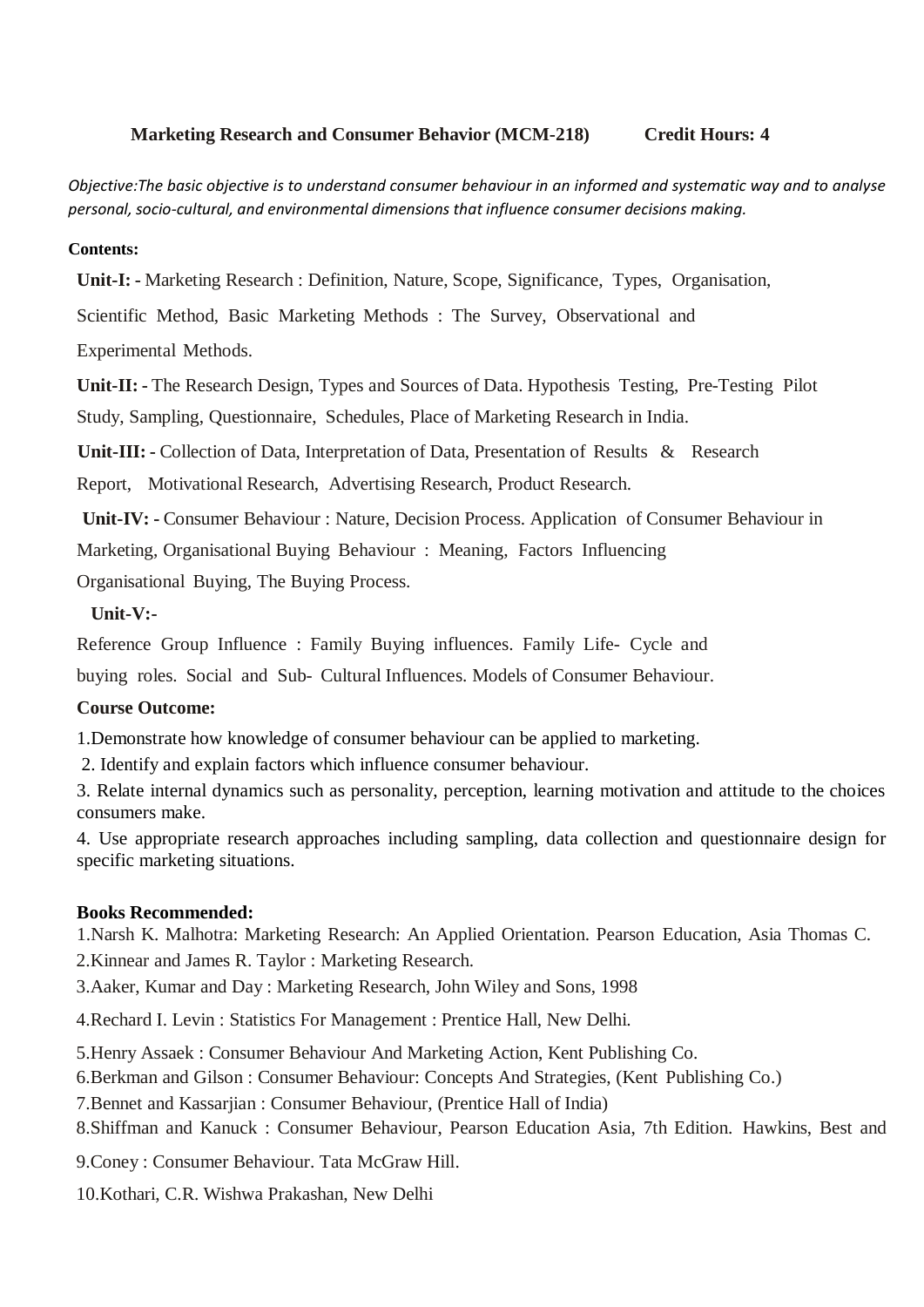## **Marketing Research and Consumer Behavior (MCM-218) Credit Hours: 4**

*Objective:The basic objective is to understand consumer behaviour in an informed and systematic way and to analyse personal, socio-cultural, and environmental dimensions that influence consumer decisions making.*

#### **Contents:**

**Unit-I: -** Marketing Research : Definition, Nature, Scope, Significance, Types, Organisation,

Scientific Method, Basic Marketing Methods : The Survey, Observational and

Experimental Methods.

**Unit-II: -** The Research Design, Types and Sources of Data. Hypothesis Testing, Pre-Testing Pilot Study, Sampling, Questionnaire, Schedules, Place of Marketing Research in India.

**Unit-III: -** Collection of Data, Interpretation of Data, Presentation of Results & Research

Report, Motivational Research, Advertising Research, Product Research.

**Unit-IV: -** Consumer Behaviour : Nature, Decision Process. Application of Consumer Behaviour in

Marketing, Organisational Buying Behaviour : Meaning, Factors Influencing

Organisational Buying, The Buying Process.

### **Unit-V:-**

Reference Group Influence : Family Buying influences. Family Life- Cycle and

buying roles. Social and Sub- Cultural Influences. Models of Consumer Behaviour.

## **Course Outcome:**

1.Demonstrate how knowledge of consumer behaviour can be applied to marketing.

2. Identify and explain factors which influence consumer behaviour.

3. Relate internal dynamics such as personality, perception, learning motivation and attitude to the choices consumers make.

4. Use appropriate research approaches including sampling, data collection and questionnaire design for specific marketing situations.

### **Books Recommended:**

1.Narsh K. Malhotra: Marketing Research: An Applied Orientation. Pearson Education, Asia Thomas C.

2.Kinnear and James R. Taylor : Marketing Research.

3.Aaker, Kumar and Day : Marketing Research, John Wiley and Sons, 1998

4.Rechard I. Levin : Statistics For Management : Prentice Hall, New Delhi.

5.Henry Assaek : Consumer Behaviour And Marketing Action, Kent Publishing Co.

6.Berkman and Gilson : Consumer Behaviour: Concepts And Strategies, (Kent Publishing Co.)

7.Bennet and Kassarjian : Consumer Behaviour, (Prentice Hall of India)

8.Shiffman and Kanuck : Consumer Behaviour, Pearson Education Asia, 7th Edition. Hawkins, Best and

9.Coney : Consumer Behaviour. Tata McGraw Hill.

10.Kothari, C.R. Wishwa Prakashan, New Delhi